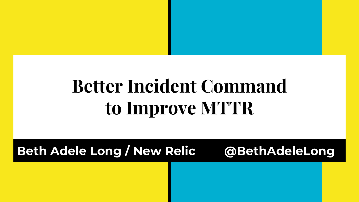### **Better Incident Command to Improve MTTR**

**Beth Adele Long / New Relic @BethAdeleLong**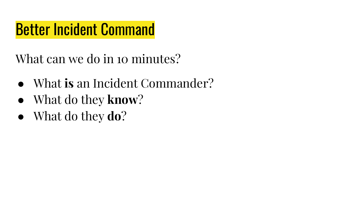#### Better Incident Command

What can we do in 10 minutes?

- What **is** an Incident Commander?
- What do they **know**?
- What do they **do**?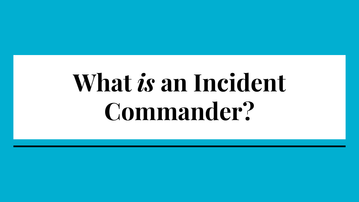# **What** *is* **an Incident Commander?**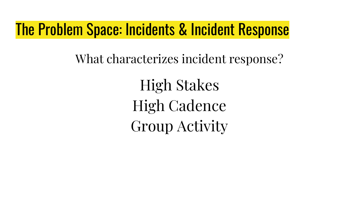#### The Problem Space: Incidents & Incident Response

What characterizes incident response?

High Stakes High Cadence Group Activity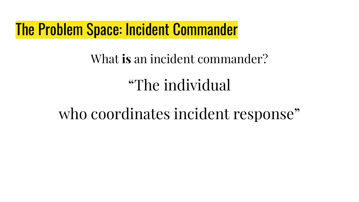#### The Problem Space: Incident Commander

#### What **is** an incident commander?

### "The individual

#### who coordinates incident response"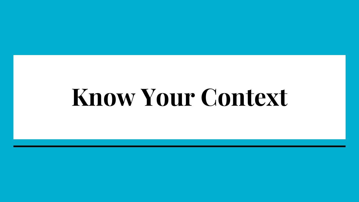## **Know Your Context**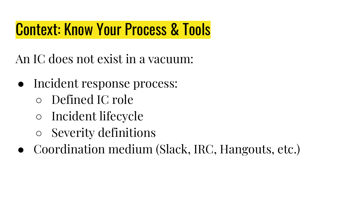### Context: Know Your Process & Tools

An IC does not exist in a vacuum:

- Incident response process:
	- Defined IC role
	- Incident lifecycle
	- Severity definitions
- Coordination medium (Slack, IRC, Hangouts, etc.)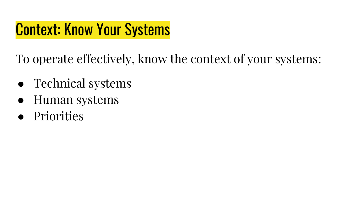#### Context: Know Your Systems

To operate effectively, know the context of your systems:

- Technical systems
- Human systems
- Priorities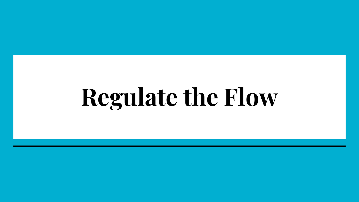# **Regulate the Flow**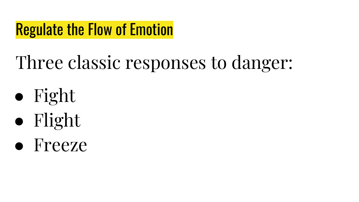#### Regulate the Flow of Emotion

### Three classic responses to danger:

- Fight
- Flight
- Freeze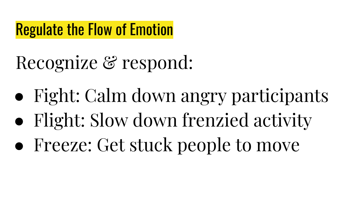#### Regulate the Flow of Emotion

Recognize & respond:

- Fight: Calm down angry participants
- Flight: Slow down frenzied activity
- Freeze: Get stuck people to move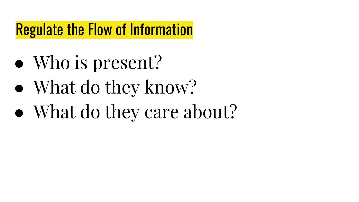#### Regulate the Flow of Information

- Who is present?
- What do they know?
- What do they care about?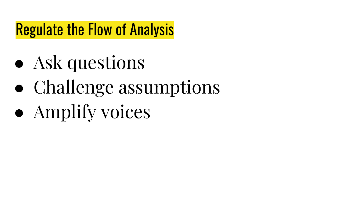#### Regulate the Flow of Analysis

- Ask questions
- Challenge assumptions
- Amplify voices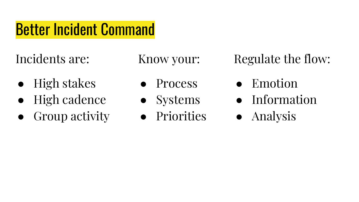#### Better Incident Command

Incidents are:

- High stakes
- **High cadence**
- Group activity

Know your:

- **Process**
- Systems
- Priorities

Regulate the flow:

- Emotion
- Information
- Analysis